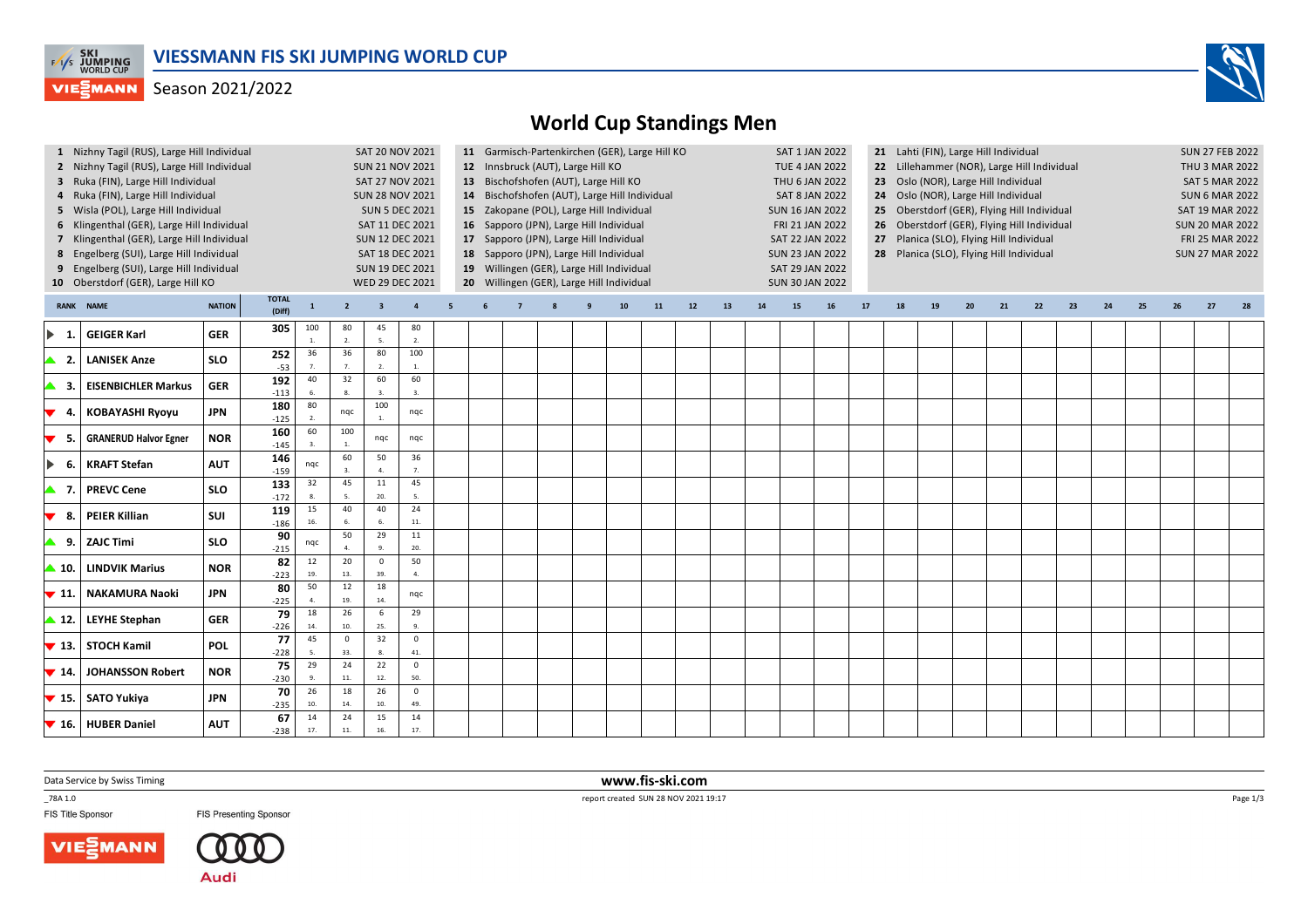

## Season 2021/2022



|                          | 1 Nizhny Tagil (RUS), Large Hill Individual<br>2 Nizhny Tagil (RUS), Large Hill Individual<br>3 Ruka (FIN), Large Hill Individual<br>4 Ruka (FIN), Large Hill Individual<br>5 Wisla (POL), Large Hill Individual<br>6 Klingenthal (GER), Large Hill Individual<br>7 Klingenthal (GER), Large Hill Individual<br>8 Engelberg (SUI), Large Hill Individual<br>9 Engelberg (SUI), Large Hill Individual<br>10 Oberstdorf (GER), Large Hill KO |                                         |               |                       | <b>SUN 21 NOV 2021</b><br>SAT 27 NOV 2021<br><b>SUN 28 NOV 2021</b><br><b>SUN 5 DEC 2021</b><br>SAT 11 DEC 2021<br><b>SUN 12 DEC 2021</b><br>SAT 18 DEC 2021<br><b>SUN 19 DEC 2021</b><br>WED 29 DEC 2021 | SAT 20 NOV 2021               | 11 Garmisch-Partenkirchen (GER), Large Hill KO<br>12 Innsbruck (AUT), Large Hill KO<br>13 Bischofshofen (AUT), Large Hill KO<br>14 Bischofshofen (AUT), Large Hill Individual<br>15 Zakopane (POL), Large Hill Individual<br>16 Sapporo (JPN), Large Hill Individual<br>17 Sapporo (JPN), Large Hill Individual<br>18 Sapporo (JPN), Large Hill Individual<br>19 Willingen (GER), Large Hill Individual<br>20 Willingen (GER), Large Hill Individual |  |  |  |    |    |    |    |    |           | SAT 1 JAN 2022<br><b>TUE 4 JAN 2022</b><br>THU 6 JAN 2022<br><b>SAT 8 JAN 2022</b><br><b>SUN 16 JAN 2022</b><br>FRI 21 JAN 2022<br>SAT 22 JAN 2022<br><b>SUN 23 JAN 2022</b><br>SAT 29 JAN 2022<br><b>SUN 30 JAN 2022</b> | 21 Lahti (FIN), Large Hill Individual<br>22 Lillehammer (NOR), Large Hill Individual<br>23 Oslo (NOR), Large Hill Individual<br>24 Oslo (NOR), Large Hill Individual<br>25 Oberstdorf (GER), Flying Hill Individual<br>26 Oberstdorf (GER), Flying Hill Individual<br>27 Planica (SLO), Flying Hill Individual<br>28 Planica (SLO), Flying Hill Individual |    |    |    |    |    |    |    |    | <b>SUN 27 FEB 2022</b><br>THU 3 MAR 2022<br><b>SAT 5 MAR 2022</b><br><b>SUN 6 MAR 2022</b><br>SAT 19 MAR 2022<br><b>SUN 20 MAR 2022</b><br>FRI 25 MAR 2022<br><b>SUN 27 MAR 2022</b> |    |  |  |  |
|--------------------------|--------------------------------------------------------------------------------------------------------------------------------------------------------------------------------------------------------------------------------------------------------------------------------------------------------------------------------------------------------------------------------------------------------------------------------------------|-----------------------------------------|---------------|-----------------------|-----------------------------------------------------------------------------------------------------------------------------------------------------------------------------------------------------------|-------------------------------|------------------------------------------------------------------------------------------------------------------------------------------------------------------------------------------------------------------------------------------------------------------------------------------------------------------------------------------------------------------------------------------------------------------------------------------------------|--|--|--|----|----|----|----|----|-----------|---------------------------------------------------------------------------------------------------------------------------------------------------------------------------------------------------------------------------|------------------------------------------------------------------------------------------------------------------------------------------------------------------------------------------------------------------------------------------------------------------------------------------------------------------------------------------------------------|----|----|----|----|----|----|----|----|--------------------------------------------------------------------------------------------------------------------------------------------------------------------------------------|----|--|--|--|
| <b>RANK</b>              | <b>NAME</b>                                                                                                                                                                                                                                                                                                                                                                                                                                | <b>TOTAL</b><br><b>NATION</b><br>(Diff) | $\mathbf{1}$  | $\overline{2}$        | $\overline{\mathbf{3}}$                                                                                                                                                                                   | $\overline{a}$                |                                                                                                                                                                                                                                                                                                                                                                                                                                                      |  |  |  | 10 | 11 | 12 | 13 | 14 | <b>15</b> | 16                                                                                                                                                                                                                        | 17                                                                                                                                                                                                                                                                                                                                                         | 18 | 19 | 20 | 21 | 22 | 23 | 24 | 25 |                                                                                                                                                                                      | 27 |  |  |  |
| -1                       | <b>GEIGER Karl</b>                                                                                                                                                                                                                                                                                                                                                                                                                         | <b>GER</b>                              | 305           | 100<br>$\mathbf{1}$ . | 80<br>$\overline{2}$                                                                                                                                                                                      | 45<br>5.                      | 80<br>2.                                                                                                                                                                                                                                                                                                                                                                                                                                             |  |  |  |    |    |    |    |    |           |                                                                                                                                                                                                                           |                                                                                                                                                                                                                                                                                                                                                            |    |    |    |    |    |    |    |    |                                                                                                                                                                                      |    |  |  |  |
| -2.                      | <b>LANISEK Anze</b>                                                                                                                                                                                                                                                                                                                                                                                                                        | <b>SLO</b>                              | 252<br>$-53$  | 36                    | 36                                                                                                                                                                                                        | 80<br>$\overline{2}$          | 100<br>1.                                                                                                                                                                                                                                                                                                                                                                                                                                            |  |  |  |    |    |    |    |    |           |                                                                                                                                                                                                                           |                                                                                                                                                                                                                                                                                                                                                            |    |    |    |    |    |    |    |    |                                                                                                                                                                                      |    |  |  |  |
| -3.                      | <b>EISENBICHLER Markus</b>                                                                                                                                                                                                                                                                                                                                                                                                                 | <b>GER</b>                              | 192<br>$-113$ | 40                    | 32                                                                                                                                                                                                        | 60<br>$\overline{\mathbf{3}}$ | 60<br>3.                                                                                                                                                                                                                                                                                                                                                                                                                                             |  |  |  |    |    |    |    |    |           |                                                                                                                                                                                                                           |                                                                                                                                                                                                                                                                                                                                                            |    |    |    |    |    |    |    |    |                                                                                                                                                                                      |    |  |  |  |
| -4.<br>▼                 | <b>KOBAYASHI Ryoyu</b>                                                                                                                                                                                                                                                                                                                                                                                                                     | <b>JPN</b>                              | 180<br>$-125$ | 80<br>$\overline{2}$  | ngc                                                                                                                                                                                                       | 100<br>$\overline{1}$         | nqc                                                                                                                                                                                                                                                                                                                                                                                                                                                  |  |  |  |    |    |    |    |    |           |                                                                                                                                                                                                                           |                                                                                                                                                                                                                                                                                                                                                            |    |    |    |    |    |    |    |    |                                                                                                                                                                                      |    |  |  |  |
| -5.<br>▼                 | <b>GRANERUD Halvor Egner</b>                                                                                                                                                                                                                                                                                                                                                                                                               | <b>NOR</b>                              | 160<br>$-145$ | 60                    | 100                                                                                                                                                                                                       | nqc                           | nqc                                                                                                                                                                                                                                                                                                                                                                                                                                                  |  |  |  |    |    |    |    |    |           |                                                                                                                                                                                                                           |                                                                                                                                                                                                                                                                                                                                                            |    |    |    |    |    |    |    |    |                                                                                                                                                                                      |    |  |  |  |
| -6.<br>▶                 | <b>KRAFT Stefan</b>                                                                                                                                                                                                                                                                                                                                                                                                                        | <b>AUT</b>                              | 146<br>$-159$ | nqc                   | 60                                                                                                                                                                                                        | 50                            | 36<br>7.                                                                                                                                                                                                                                                                                                                                                                                                                                             |  |  |  |    |    |    |    |    |           |                                                                                                                                                                                                                           |                                                                                                                                                                                                                                                                                                                                                            |    |    |    |    |    |    |    |    |                                                                                                                                                                                      |    |  |  |  |
| ▲ 7.                     | <b>PREVC Cene</b>                                                                                                                                                                                                                                                                                                                                                                                                                          | <b>SLO</b>                              | 133<br>$-172$ | 32<br>$\mathbf{R}$    | 45                                                                                                                                                                                                        | 11<br>20.                     | 45<br>5.                                                                                                                                                                                                                                                                                                                                                                                                                                             |  |  |  |    |    |    |    |    |           |                                                                                                                                                                                                                           |                                                                                                                                                                                                                                                                                                                                                            |    |    |    |    |    |    |    |    |                                                                                                                                                                                      |    |  |  |  |
| - 8.                     | <b>PEIER Killian</b>                                                                                                                                                                                                                                                                                                                                                                                                                       | SUI                                     | 119<br>$-186$ | 15<br>16              | 40<br>6.                                                                                                                                                                                                  | 40<br>6.                      | 24<br>11.                                                                                                                                                                                                                                                                                                                                                                                                                                            |  |  |  |    |    |    |    |    |           |                                                                                                                                                                                                                           |                                                                                                                                                                                                                                                                                                                                                            |    |    |    |    |    |    |    |    |                                                                                                                                                                                      |    |  |  |  |
| 9.1                      | <b>ZAJC Timi</b>                                                                                                                                                                                                                                                                                                                                                                                                                           | <b>SLO</b>                              | 90<br>$-215$  | nqc                   | 50                                                                                                                                                                                                        | 29                            | 11<br>20.                                                                                                                                                                                                                                                                                                                                                                                                                                            |  |  |  |    |    |    |    |    |           |                                                                                                                                                                                                                           |                                                                                                                                                                                                                                                                                                                                                            |    |    |    |    |    |    |    |    |                                                                                                                                                                                      |    |  |  |  |
| $\blacktriangle$ 10.     | <b>LINDVIK Marius</b>                                                                                                                                                                                                                                                                                                                                                                                                                      | <b>NOR</b>                              | 82<br>$-223$  | 12<br>19.             | 20<br>13.                                                                                                                                                                                                 | $\mathbf 0$<br>39.            | 50<br>$\overline{4}$                                                                                                                                                                                                                                                                                                                                                                                                                                 |  |  |  |    |    |    |    |    |           |                                                                                                                                                                                                                           |                                                                                                                                                                                                                                                                                                                                                            |    |    |    |    |    |    |    |    |                                                                                                                                                                                      |    |  |  |  |
| $\blacktriangledown$ 11. | <b>NAKAMURA Naoki</b>                                                                                                                                                                                                                                                                                                                                                                                                                      | <b>JPN</b>                              | 80<br>$-225$  | 50<br>$\overline{a}$  | 12<br>19.                                                                                                                                                                                                 | 18<br>14.                     | nqc                                                                                                                                                                                                                                                                                                                                                                                                                                                  |  |  |  |    |    |    |    |    |           |                                                                                                                                                                                                                           |                                                                                                                                                                                                                                                                                                                                                            |    |    |    |    |    |    |    |    |                                                                                                                                                                                      |    |  |  |  |
| $\blacktriangle$ 12.     | <b>LEYHE Stephan</b>                                                                                                                                                                                                                                                                                                                                                                                                                       | <b>GER</b>                              | 79<br>$-226$  | 18<br>14.             | 26<br>10.                                                                                                                                                                                                 | 6<br>25.                      | 29<br>9.                                                                                                                                                                                                                                                                                                                                                                                                                                             |  |  |  |    |    |    |    |    |           |                                                                                                                                                                                                                           |                                                                                                                                                                                                                                                                                                                                                            |    |    |    |    |    |    |    |    |                                                                                                                                                                                      |    |  |  |  |
| $\blacktriangledown$ 13. | STOCH Kamil                                                                                                                                                                                                                                                                                                                                                                                                                                | <b>POL</b>                              | 77<br>$-228$  | 45<br>-5.             | $\mathbf 0$<br>33.                                                                                                                                                                                        | 32                            | $\mathbf 0$<br>41.                                                                                                                                                                                                                                                                                                                                                                                                                                   |  |  |  |    |    |    |    |    |           |                                                                                                                                                                                                                           |                                                                                                                                                                                                                                                                                                                                                            |    |    |    |    |    |    |    |    |                                                                                                                                                                                      |    |  |  |  |
| $\blacktriangledown$ 14. | <b>JOHANSSON Robert</b>                                                                                                                                                                                                                                                                                                                                                                                                                    | <b>NOR</b>                              | 75<br>$-230$  | 29<br>9.              | 24<br>11.                                                                                                                                                                                                 | $\overline{22}$<br>12.        | $\mathbf{0}$<br>50.                                                                                                                                                                                                                                                                                                                                                                                                                                  |  |  |  |    |    |    |    |    |           |                                                                                                                                                                                                                           |                                                                                                                                                                                                                                                                                                                                                            |    |    |    |    |    |    |    |    |                                                                                                                                                                                      |    |  |  |  |
|                          | $\blacktriangledown$ 15. SATO Yukiya                                                                                                                                                                                                                                                                                                                                                                                                       | JPN                                     | 70<br>$-235$  | 26<br>10              | 18<br>14.                                                                                                                                                                                                 | 26<br>10.                     | $\mathbf 0$<br>49.                                                                                                                                                                                                                                                                                                                                                                                                                                   |  |  |  |    |    |    |    |    |           |                                                                                                                                                                                                                           |                                                                                                                                                                                                                                                                                                                                                            |    |    |    |    |    |    |    |    |                                                                                                                                                                                      |    |  |  |  |
|                          | $\blacktriangleright$ 16. HUBER Daniel                                                                                                                                                                                                                                                                                                                                                                                                     | <b>AUT</b>                              | 67<br>$-238$  | 14<br>17.             | 24<br>11.                                                                                                                                                                                                 | 15<br>16.                     | 14<br>17.                                                                                                                                                                                                                                                                                                                                                                                                                                            |  |  |  |    |    |    |    |    |           |                                                                                                                                                                                                                           |                                                                                                                                                                                                                                                                                                                                                            |    |    |    |    |    |    |    |    |                                                                                                                                                                                      |    |  |  |  |

Data Service by Swiss Timing

\_78A 1.0

FIS Title Sponsor

**FIS Presenting Sponsor** 



 **www.fis-ski.com**report created SUN 28 NOV 2021 19:17

Page 1/3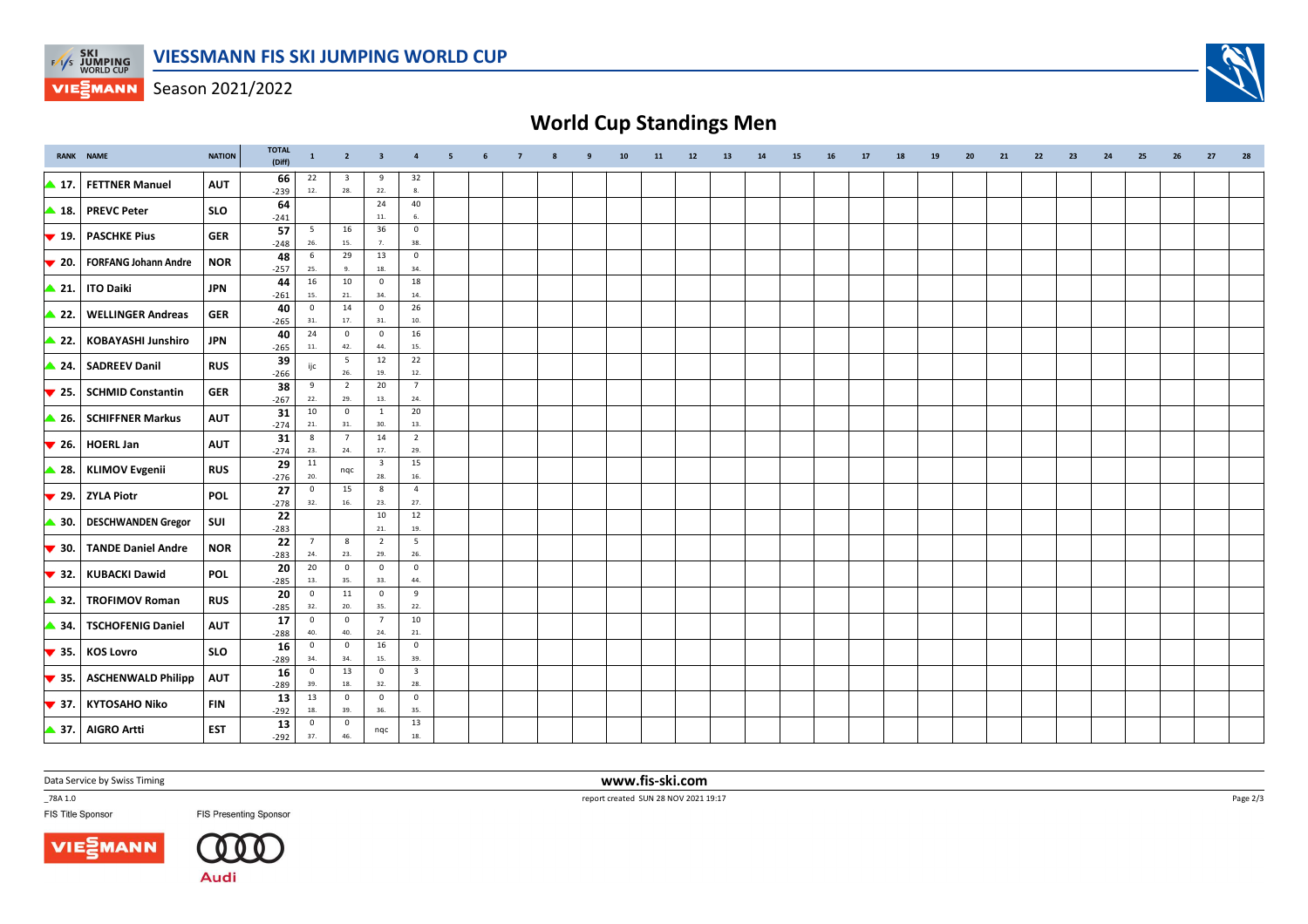

Season 2021/2022

## **World Cup Standings Men**

|                          | <b>RANK NAME</b>                      | <b>NATION</b> | <b>TOTAL</b><br>(Diff) | $\mathbf{1}$                   | $\overline{2}$                 | $\overline{\mathbf{3}}$        | $\overline{a}$                 | 5 | 6 | $\overline{7}$ |  | 10 | 11 | 12 | 13 | 14 | 15 | 16 | 17 | 18 | 19 | 20 | 21 | 22 | 23 | 24 | 25 | 26 | 27 | 28 |
|--------------------------|---------------------------------------|---------------|------------------------|--------------------------------|--------------------------------|--------------------------------|--------------------------------|---|---|----------------|--|----|----|----|----|----|----|----|----|----|----|----|----|----|----|----|----|----|----|----|
| ▲ 17.                    | <b>FETTNER Manuel</b>                 | <b>AUT</b>    | 66<br>$-239$           | 22<br>12.                      | $\overline{\mathbf{3}}$<br>28. | 9<br>22.                       | 32<br>8.                       |   |   |                |  |    |    |    |    |    |    |    |    |    |    |    |    |    |    |    |    |    |    |    |
| ▲ 18.                    | <b>PREVC Peter</b>                    | <b>SLO</b>    | 64                     |                                |                                | 24<br>11.                      | 40<br>6.                       |   |   |                |  |    |    |    |    |    |    |    |    |    |    |    |    |    |    |    |    |    |    |    |
| $\blacktriangledown$ 19. | <b>PASCHKE Pius</b>                   | <b>GER</b>    | $-241$<br>57           | $5\phantom{.0}$                | 16                             | 36                             | $\mathbf 0$                    |   |   |                |  |    |    |    |    |    |    |    |    |    |    |    |    |    |    |    |    |    |    |    |
| $\blacktriangledown$ 20. | <b>FORFANG Johann Andre</b>           | <b>NOR</b>    | $-248$<br>48           | 26.<br>6                       | 15.<br>29                      | 7.<br>13                       | 38.<br>$\mathbf 0$             |   |   |                |  |    |    |    |    |    |    |    |    |    |    |    |    |    |    |    |    |    |    |    |
| $\triangle$ 21.          | <b>ITO Daiki</b>                      | <b>JPN</b>    | $-257$<br>44           | 25.<br>16                      | 9.<br>10                       | 18.<br>$\overline{0}$          | 34.<br>18                      |   |   |                |  |    |    |    |    |    |    |    |    |    |    |    |    |    |    |    |    |    |    |    |
|                          |                                       |               | $-261$<br>40           | 15.<br>$\overline{\mathbf{0}}$ | 21.<br>14                      | 34.<br>$\overline{0}$          | 14.<br>26                      |   |   |                |  |    |    |    |    |    |    |    |    |    |    |    |    |    |    |    |    |    |    |    |
| ▲ 22.                    | <b>WELLINGER Andreas</b>              | GER           | $-265$<br>40           | 31.<br>24                      | 17.<br>$\mathbf 0$             | 31.<br>$\overline{0}$          | 10.<br>16                      |   |   |                |  |    |    |    |    |    |    |    |    |    |    |    |    |    |    |    |    |    |    |    |
| ▲ 22.                    | <b>KOBAYASHI Junshiro</b>             | <b>JPN</b>    | $-265$                 | 11.                            | 42.                            | 44.                            | 15.                            |   |   |                |  |    |    |    |    |    |    |    |    |    |    |    |    |    |    |    |    |    |    |    |
| ▲ 24.                    | <b>SADREEV Danil</b>                  | <b>RUS</b>    | 39<br>$-266$           | ijc                            | 5<br>26.                       | 12<br>19.                      | 22<br>$12.$                    |   |   |                |  |    |    |    |    |    |    |    |    |    |    |    |    |    |    |    |    |    |    |    |
| $\blacktriangledown$ 25. | <b>SCHMID Constantin</b>              | <b>GER</b>    | 38<br>$-267$           | 9<br>22.                       | $\overline{2}$<br>29.          | 20<br>13.                      | $\overline{7}$<br>24.          |   |   |                |  |    |    |    |    |    |    |    |    |    |    |    |    |    |    |    |    |    |    |    |
| $\triangle$ 26.          | <b>SCHIFFNER Markus</b>               | <b>AUT</b>    | 31<br>$-274$           | 10<br>21.                      | $\mathbf 0$<br>31.             | 1<br>30.                       | 20<br>13.                      |   |   |                |  |    |    |    |    |    |    |    |    |    |    |    |    |    |    |    |    |    |    |    |
| $\blacktriangledown$ 26. | <b>HOERL Jan</b>                      | <b>AUT</b>    | 31<br>$-274$           | $\boldsymbol{8}$<br>23.        | $\overline{7}$<br>24.          | 14<br>17.                      | $\overline{2}$<br>29.          |   |   |                |  |    |    |    |    |    |    |    |    |    |    |    |    |    |    |    |    |    |    |    |
| ▲ 28.                    | <b>KLIMOV Evgenii</b>                 | <b>RUS</b>    | 29<br>$-276$           | 11<br>20.                      | nqc                            | $\overline{\mathbf{3}}$<br>28. | 15<br>16.                      |   |   |                |  |    |    |    |    |    |    |    |    |    |    |    |    |    |    |    |    |    |    |    |
|                          | $\blacktriangledown$ 29.   ZYLA Piotr | <b>POL</b>    | 27<br>$-278$           | $\overline{0}$<br>32.          | 15<br>16.                      | 8<br>23.                       | $\overline{4}$<br>27.          |   |   |                |  |    |    |    |    |    |    |    |    |    |    |    |    |    |    |    |    |    |    |    |
| ▲ 30.                    | <b>DESCHWANDEN Gregor</b>             | SUI           | 22                     |                                |                                | 10                             | 12<br>19.                      |   |   |                |  |    |    |    |    |    |    |    |    |    |    |    |    |    |    |    |    |    |    |    |
| $\blacktriangledown$ 30. | <b>TANDE Daniel Andre</b>             | <b>NOR</b>    | $-283$<br>22           | $\overline{7}$                 | 8                              | 21.<br>$\overline{2}$          | $5\overline{5}$                |   |   |                |  |    |    |    |    |    |    |    |    |    |    |    |    |    |    |    |    |    |    |    |
| $\blacktriangledown$ 32. | <b>KUBACKI Dawid</b>                  | <b>POL</b>    | $-283$<br>20           | 24.<br>20                      | 23.<br>$\mathbf 0$             | 29.<br>$\mathbf 0$             | 26.<br>$\mathbf 0$             |   |   |                |  |    |    |    |    |    |    |    |    |    |    |    |    |    |    |    |    |    |    |    |
| ▲ 32.                    | <b>TROFIMOV Roman</b>                 | <b>RUS</b>    | $-285$<br>20           | 13.<br>$\overline{\mathbf{0}}$ | 35.<br>11                      | 33.<br>$\overline{0}$          | 44.<br>9                       |   |   |                |  |    |    |    |    |    |    |    |    |    |    |    |    |    |    |    |    |    |    |    |
| ▲ 34.                    | <b>TSCHOFENIG Daniel</b>              | <b>AUT</b>    | $-285$<br>17           | 32.<br>$\overline{\mathbf{0}}$ | 20.<br>$\mathbf 0$             | 35.<br>$\overline{7}$          | 22.<br>10                      |   |   |                |  |    |    |    |    |    |    |    |    |    |    |    |    |    |    |    |    |    |    |    |
|                          |                                       |               | $-288$<br>16           | 40.<br>$\overline{\mathbf{0}}$ | 40.<br>$\mathbf 0$             | 24.<br>16                      | $21.$<br>$\mathbf 0$           |   |   |                |  |    |    |    |    |    |    |    |    |    |    |    |    |    |    |    |    |    |    |    |
| $\blacktriangledown$ 35. | <b>KOS Lovro</b>                      | <b>SLO</b>    | $-289$<br>16           | 34.<br>$\overline{0}$          | 34.<br>13                      | 15.<br>$\overline{0}$          | 39.<br>$\overline{\mathbf{3}}$ |   |   |                |  |    |    |    |    |    |    |    |    |    |    |    |    |    |    |    |    |    |    |    |
| $\blacktriangledown$ 35. | <b>ASCHENWALD Philipp</b>             | <b>AUT</b>    | $-289$                 | 39.                            | 18.                            | 32.                            | 28.                            |   |   |                |  |    |    |    |    |    |    |    |    |    |    |    |    |    |    |    |    |    |    |    |
| $\blacktriangledown$ 37. | <b>KYTOSAHO Niko</b>                  | <b>FIN</b>    | 13<br>$-292$           | 13<br>18.                      | $\mathbf 0$<br>39.             | $\overline{\mathbf{0}}$<br>36. | $\mathbf 0$<br>35.             |   |   |                |  |    |    |    |    |    |    |    |    |    |    |    |    |    |    |    |    |    |    |    |
|                          | 37. AIGRO Artti                       | <b>EST</b>    | 13<br>$-292$           | $\overline{0}$<br>37.          | $\overline{0}$<br>46.          | nqc                            | 13<br>18.                      |   |   |                |  |    |    |    |    |    |    |    |    |    |    |    |    |    |    |    |    |    |    |    |

Data Service by Swiss Timing

\_78A 1.0

FIS Title Sponsor





 **www.fis-ski.com**report created SUN 28 NOV 2021 19:17